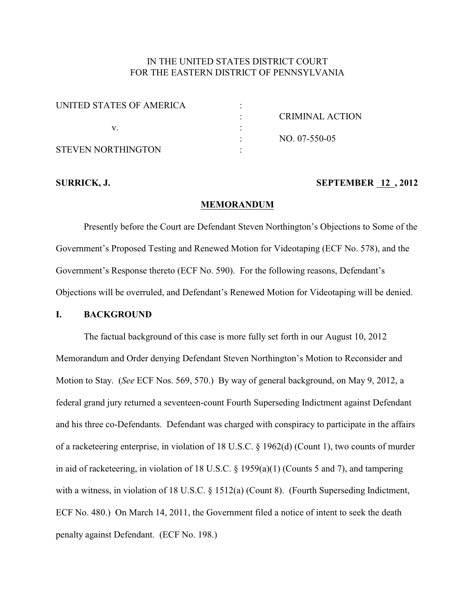# IN THE UNITED STATES DISTRICT COURT FOR THE EASTERN DISTRICT OF PENNSYLVANIA

| UNITED STATES OF AMERICA |                 |
|--------------------------|-----------------|
|                          | CRIMINAL ACTION |
|                          |                 |
|                          | NO. 07-550-05   |
| STEVEN NORTHINGTON       |                 |

#### **SURRICK, J. SEPTEMBER 12, 2012**

#### **MEMORANDUM**

Presently before the Court are Defendant Steven Northington's Objections to Some of the Government's Proposed Testing and Renewed Motion for Videotaping (ECF No. 578), and the Government's Response thereto (ECF No. 590). For the following reasons, Defendant's Objections will be overruled, and Defendant's Renewed Motion for Videotaping will be denied.

#### **I. BACKGROUND**

The factual background of this case is more fully set forth in our August 10, 2012 Memorandum and Order denying Defendant Steven Northington's Motion to Reconsider and Motion to Stay. (*See* ECF Nos. 569, 570.) By way of general background, on May 9, 2012, a federal grand jury returned a seventeen-count Fourth Superseding Indictment against Defendant and his three co-Defendants. Defendant was charged with conspiracy to participate in the affairs of a racketeering enterprise, in violation of 18 U.S.C. § 1962(d) (Count 1), two counts of murder in aid of racketeering, in violation of 18 U.S.C. § 1959(a)(1) (Counts 5 and 7), and tampering with a witness, in violation of 18 U.S.C. § 1512(a) (Count 8). (Fourth Superseding Indictment, ECF No. 480.) On March 14, 2011, the Government filed a notice of intent to seek the death penalty against Defendant. (ECF No. 198.)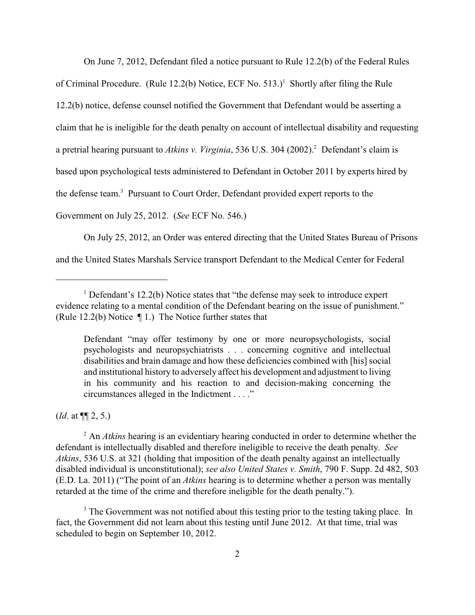On June 7, 2012, Defendant filed a notice pursuant to Rule 12.2(b) of the Federal Rules

of Criminal Procedure. (Rule 12.2(b) Notice, ECF No.  $513$ .)<sup>1</sup> Shortly after filing the Rule 12.2(b) notice, defense counsel notified the Government that Defendant would be asserting a claim that he is ineligible for the death penalty on account of intellectual disability and requesting a pretrial hearing pursuant to *Atkins v. Virginia*, 536 U.S. 304 (2002).<sup>2</sup> Defendant's claim is based upon psychological tests administered to Defendant in October 2011 by experts hired by the defense team.<sup>3</sup> Pursuant to Court Order, Defendant provided expert reports to the Government on July 25, 2012. (*See* ECF No. 546.)

On July 25, 2012, an Order was entered directing that the United States Bureau of Prisons and the United States Marshals Service transport Defendant to the Medical Center for Federal

(*Id*. at ¶¶ 2, 5.)

<sup>2</sup> An *Atkins* hearing is an evidentiary hearing conducted in order to determine whether the defendant is intellectually disabled and therefore ineligible to receive the death penalty. *See Atkins*, 536 U.S. at 321 (holding that imposition of the death penalty against an intellectually disabled individual is unconstitutional); *see also United States v. Smith*, 790 F. Supp. 2d 482, 503 (E.D. La. 2011) ("The point of an *Atkins* hearing is to determine whether a person was mentally retarded at the time of the crime and therefore ineligible for the death penalty.").

<sup>3</sup> The Government was not notified about this testing prior to the testing taking place. In fact, the Government did not learn about this testing until June 2012. At that time, trial was scheduled to begin on September 10, 2012.

<sup>&</sup>lt;sup>1</sup> Defendant's 12.2(b) Notice states that "the defense may seek to introduce expert evidence relating to a mental condition of the Defendant bearing on the issue of punishment." (Rule 12.2(b) Notice ¶ 1.) The Notice further states that

Defendant "may offer testimony by one or more neuropsychologists, social psychologists and neuropsychiatrists . . . concerning cognitive and intellectual disabilities and brain damage and how these deficiencies combined with [his] social and institutional history to adversely affect his development and adjustment to living in his community and his reaction to and decision-making concerning the circumstances alleged in the Indictment . . . ."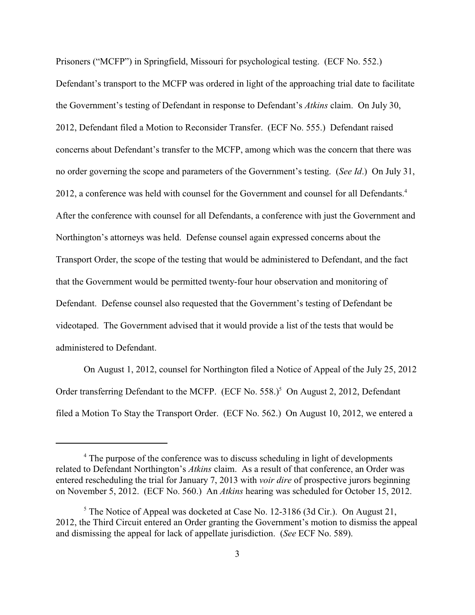Prisoners ("MCFP") in Springfield, Missouri for psychological testing. (ECF No. 552.) Defendant's transport to the MCFP was ordered in light of the approaching trial date to facilitate the Government's testing of Defendant in response to Defendant's *Atkins* claim. On July 30, 2012, Defendant filed a Motion to Reconsider Transfer. (ECF No. 555.) Defendant raised concerns about Defendant's transfer to the MCFP, among which was the concern that there was no order governing the scope and parameters of the Government's testing. (*See Id*.) On July 31, 2012, a conference was held with counsel for the Government and counsel for all Defendants.<sup>4</sup> After the conference with counsel for all Defendants, a conference with just the Government and Northington's attorneys was held. Defense counsel again expressed concerns about the Transport Order, the scope of the testing that would be administered to Defendant, and the fact that the Government would be permitted twenty-four hour observation and monitoring of Defendant. Defense counsel also requested that the Government's testing of Defendant be videotaped. The Government advised that it would provide a list of the tests that would be administered to Defendant.

On August 1, 2012, counsel for Northington filed a Notice of Appeal of the July 25, 2012 Order transferring Defendant to the MCFP. (ECF No. 558.)<sup>5</sup> On August 2, 2012, Defendant filed a Motion To Stay the Transport Order. (ECF No. 562.) On August 10, 2012, we entered a

<sup>&</sup>lt;sup>4</sup> The purpose of the conference was to discuss scheduling in light of developments related to Defendant Northington's *Atkins* claim. As a result of that conference, an Order was entered rescheduling the trial for January 7, 2013 with *voir dire* of prospective jurors beginning on November 5, 2012. (ECF No. 560.) An *Atkins* hearing was scheduled for October 15, 2012.

 $5$  The Notice of Appeal was docketed at Case No. 12-3186 (3d Cir.). On August 21, 2012, the Third Circuit entered an Order granting the Government's motion to dismiss the appeal and dismissing the appeal for lack of appellate jurisdiction. (*See* ECF No. 589).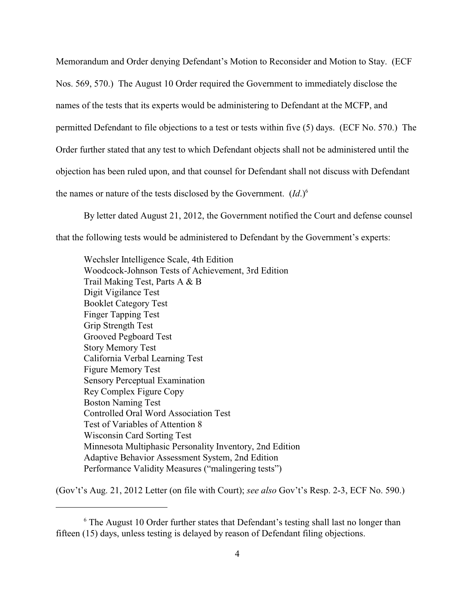Memorandum and Order denying Defendant's Motion to Reconsider and Motion to Stay. (ECF Nos. 569, 570.) The August 10 Order required the Government to immediately disclose the names of the tests that its experts would be administering to Defendant at the MCFP, and permitted Defendant to file objections to a test or tests within five (5) days. (ECF No. 570.) The Order further stated that any test to which Defendant objects shall not be administered until the objection has been ruled upon, and that counsel for Defendant shall not discuss with Defendant the names or nature of the tests disclosed by the Government.  $(Id.)^6$ 

By letter dated August 21, 2012, the Government notified the Court and defense counsel

that the following tests would be administered to Defendant by the Government's experts:

Wechsler Intelligence Scale, 4th Edition Woodcock-Johnson Tests of Achievement, 3rd Edition Trail Making Test, Parts A & B Digit Vigilance Test Booklet Category Test Finger Tapping Test Grip Strength Test Grooved Pegboard Test Story Memory Test California Verbal Learning Test Figure Memory Test Sensory Perceptual Examination Rey Complex Figure Copy Boston Naming Test Controlled Oral Word Association Test Test of Variables of Attention 8 Wisconsin Card Sorting Test Minnesota Multiphasic Personality Inventory, 2nd Edition Adaptive Behavior Assessment System, 2nd Edition Performance Validity Measures ("malingering tests")

(Gov't's Aug. 21, 2012 Letter (on file with Court); *see also* Gov't's Resp. 2-3, ECF No. 590.)

 $6$  The August 10 Order further states that Defendant's testing shall last no longer than fifteen (15) days, unless testing is delayed by reason of Defendant filing objections.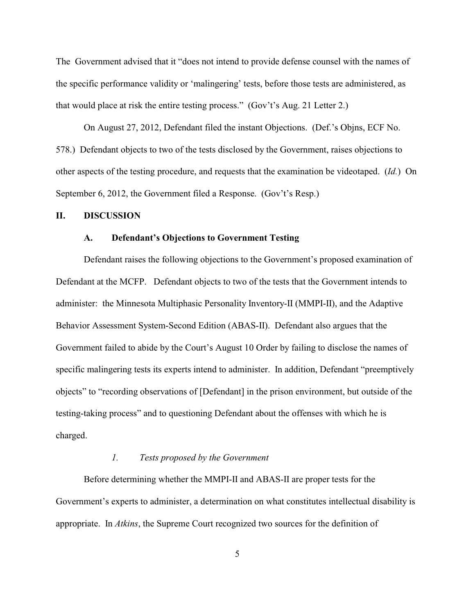The Government advised that it "does not intend to provide defense counsel with the names of the specific performance validity or 'malingering' tests, before those tests are administered, as that would place at risk the entire testing process." (Gov't's Aug. 21 Letter 2.)

On August 27, 2012, Defendant filed the instant Objections. (Def.'s Objns, ECF No. 578.) Defendant objects to two of the tests disclosed by the Government, raises objections to other aspects of the testing procedure, and requests that the examination be videotaped. (*Id.*) On September 6, 2012, the Government filed a Response. (Gov't's Resp.)

#### **II. DISCUSSION**

#### **A. Defendant's Objections to Government Testing**

Defendant raises the following objections to the Government's proposed examination of Defendant at the MCFP. Defendant objects to two of the tests that the Government intends to administer: the Minnesota Multiphasic Personality Inventory-II (MMPI-II), and the Adaptive Behavior Assessment System-Second Edition (ABAS-II). Defendant also argues that the Government failed to abide by the Court's August 10 Order by failing to disclose the names of specific malingering tests its experts intend to administer. In addition, Defendant "preemptively objects" to "recording observations of [Defendant] in the prison environment, but outside of the testing-taking process" and to questioning Defendant about the offenses with which he is charged.

# *1. Tests proposed by the Government*

Before determining whether the MMPI-II and ABAS-II are proper tests for the Government's experts to administer, a determination on what constitutes intellectual disability is appropriate. In *Atkins*, the Supreme Court recognized two sources for the definition of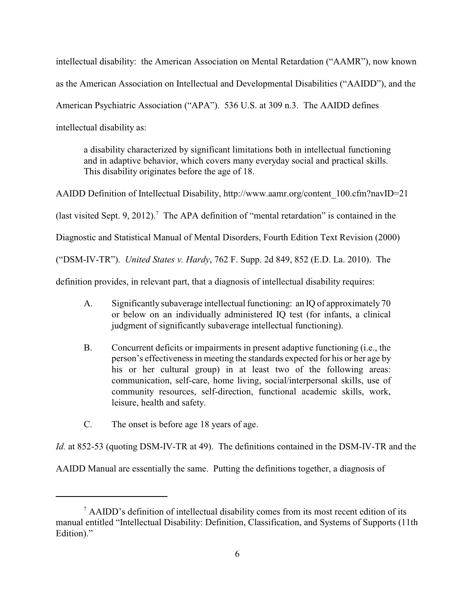intellectual disability: the American Association on Mental Retardation ("AAMR"), now known as the American Association on Intellectual and Developmental Disabilities ("AAIDD"), and the American Psychiatric Association ("APA"). 536 U.S. at 309 n.3. The AAIDD defines intellectual disability as:

a disability characterized by significant limitations both in intellectual functioning and in adaptive behavior, which covers many everyday social and practical skills. This disability originates before the age of 18.

AAIDD Definition of Intellectual Disability, http://www.aamr.org/content\_100.cfm?navID=21 (last visited Sept. 9, 2012).<sup>7</sup> The APA definition of "mental retardation" is contained in the Diagnostic and Statistical Manual of Mental Disorders, Fourth Edition Text Revision (2000) ("DSM-IV-TR"). *United States v. Hardy*, 762 F. Supp. 2d 849, 852 (E.D. La. 2010). The definition provides, in relevant part, that a diagnosis of intellectual disability requires:

- A. Significantly subaverage intellectual functioning: an IQ of approximately 70 or below on an individually administered IQ test (for infants, a clinical judgment of significantly subaverage intellectual functioning).
- B. Concurrent deficits or impairments in present adaptive functioning (i.e., the person's effectiveness in meeting the standards expected for his or her age by his or her cultural group) in at least two of the following areas: communication, self-care, home living, social/interpersonal skills, use of community resources, self-direction, functional academic skills, work, leisure, health and safety.
- C. The onset is before age 18 years of age.

*Id.* at 852-53 (quoting DSM-IV-TR at 49). The definitions contained in the DSM-IV-TR and the

AAIDD Manual are essentially the same. Putting the definitions together, a diagnosis of

<sup>&</sup>lt;sup>7</sup> AAIDD's definition of intellectual disability comes from its most recent edition of its manual entitled "Intellectual Disability: Definition, Classification, and Systems of Supports (11th Edition)."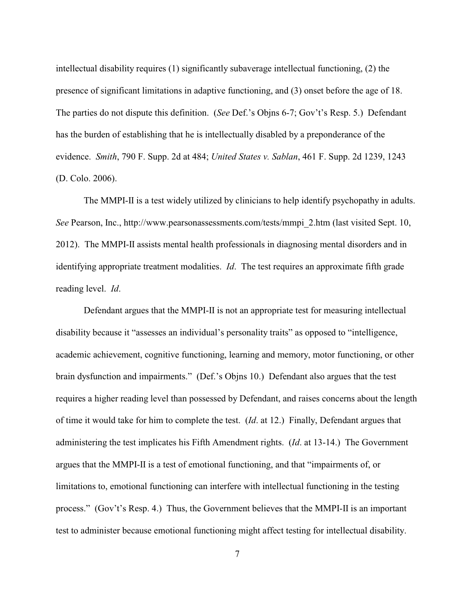intellectual disability requires (1) significantly subaverage intellectual functioning, (2) the presence of significant limitations in adaptive functioning, and (3) onset before the age of 18. The parties do not dispute this definition. (*See* Def.'s Objns 6-7; Gov't's Resp. 5.) Defendant has the burden of establishing that he is intellectually disabled by a preponderance of the evidence. *Smith*, 790 F. Supp. 2d at 484; *United States v. Sablan*, 461 F. Supp. 2d 1239, 1243 (D. Colo. 2006).

The MMPI-II is a test widely utilized by clinicians to help identify psychopathy in adults. *See* Pearson, Inc., http://www.pearsonassessments.com/tests/mmpi\_2.htm (last visited Sept. 10, 2012). The MMPI-II assists mental health professionals in diagnosing mental disorders and in identifying appropriate treatment modalities. *Id*. The test requires an approximate fifth grade reading level. *Id*.

Defendant argues that the MMPI-II is not an appropriate test for measuring intellectual disability because it "assesses an individual's personality traits" as opposed to "intelligence, academic achievement, cognitive functioning, learning and memory, motor functioning, or other brain dysfunction and impairments." (Def.'s Objns 10.) Defendant also argues that the test requires a higher reading level than possessed by Defendant, and raises concerns about the length of time it would take for him to complete the test. (*Id*. at 12.) Finally, Defendant argues that administering the test implicates his Fifth Amendment rights. (*Id*. at 13-14.) The Government argues that the MMPI-II is a test of emotional functioning, and that "impairments of, or limitations to, emotional functioning can interfere with intellectual functioning in the testing process." (Gov't's Resp. 4.) Thus, the Government believes that the MMPI-II is an important test to administer because emotional functioning might affect testing for intellectual disability.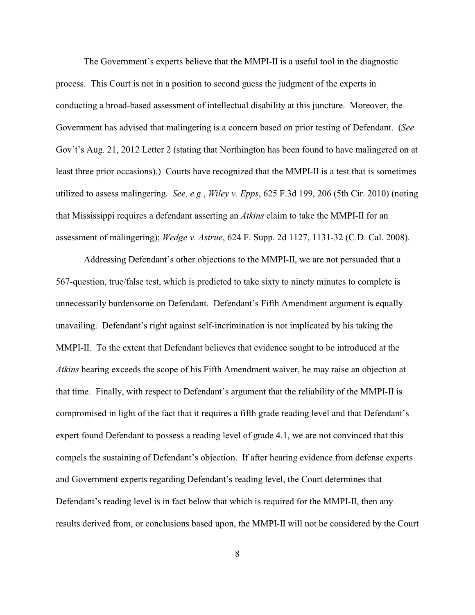The Government's experts believe that the MMPI-II is a useful tool in the diagnostic process. This Court is not in a position to second guess the judgment of the experts in conducting a broad-based assessment of intellectual disability at this juncture. Moreover, the Government has advised that malingering is a concern based on prior testing of Defendant. (*See* Gov't's Aug. 21, 2012 Letter 2 (stating that Northington has been found to have malingered on at least three prior occasions).) Courts have recognized that the MMPI-II is a test that is sometimes utilized to assess malingering. *See, e.g.*, *Wiley v. Epps*, 625 F.3d 199, 206 (5th Cir. 2010) (noting that Mississippi requires a defendant asserting an *Atkins* claim to take the MMPI-II for an assessment of malingering); *Wedge v. Astrue*, 624 F. Supp. 2d 1127, 1131-32 (C.D. Cal. 2008).

Addressing Defendant's other objections to the MMPI-II, we are not persuaded that a 567-question, true/false test, which is predicted to take sixty to ninety minutes to complete is unnecessarily burdensome on Defendant. Defendant's Fifth Amendment argument is equally unavailing. Defendant's right against self-incrimination is not implicated by his taking the MMPI-II. To the extent that Defendant believes that evidence sought to be introduced at the *Atkins* hearing exceeds the scope of his Fifth Amendment waiver, he may raise an objection at that time. Finally, with respect to Defendant's argument that the reliability of the MMPI-II is compromised in light of the fact that it requires a fifth grade reading level and that Defendant's expert found Defendant to possess a reading level of grade 4.1, we are not convinced that this compels the sustaining of Defendant's objection. If after hearing evidence from defense experts and Government experts regarding Defendant's reading level, the Court determines that Defendant's reading level is in fact below that which is required for the MMPI-II, then any results derived from, or conclusions based upon, the MMPI-II will not be considered by the Court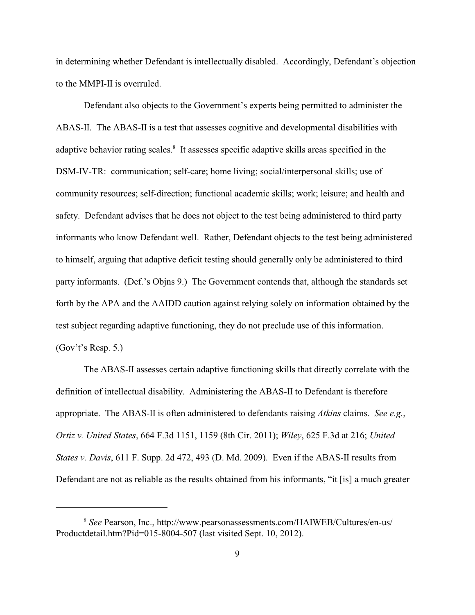in determining whether Defendant is intellectually disabled. Accordingly, Defendant's objection to the MMPI-II is overruled.

Defendant also objects to the Government's experts being permitted to administer the ABAS-II. The ABAS-II is a test that assesses cognitive and developmental disabilities with adaptive behavior rating scales.<sup>8</sup> It assesses specific adaptive skills areas specified in the DSM-IV-TR: communication; self-care; home living; social/interpersonal skills; use of community resources; self-direction; functional academic skills; work; leisure; and health and safety. Defendant advises that he does not object to the test being administered to third party informants who know Defendant well. Rather, Defendant objects to the test being administered to himself, arguing that adaptive deficit testing should generally only be administered to third party informants. (Def.'s Objns 9.) The Government contends that, although the standards set forth by the APA and the AAIDD caution against relying solely on information obtained by the test subject regarding adaptive functioning, they do not preclude use of this information. (Gov't's Resp. 5.)

The ABAS-II assesses certain adaptive functioning skills that directly correlate with the definition of intellectual disability. Administering the ABAS-II to Defendant is therefore appropriate. The ABAS-II is often administered to defendants raising *Atkins* claims. *See e.g.*, *Ortiz v. United States*, 664 F.3d 1151, 1159 (8th Cir. 2011); *Wiley*, 625 F.3d at 216; *United States v. Davis*, 611 F. Supp. 2d 472, 493 (D. Md. 2009). Even if the ABAS-II results from Defendant are not as reliable as the results obtained from his informants, "it [is] a much greater

*See* Pearson, Inc., http://www.pearsonassessments.com/HAIWEB/Cultures/en-us/ <sup>8</sup> Productdetail.htm?Pid=015-8004-507 (last visited Sept. 10, 2012).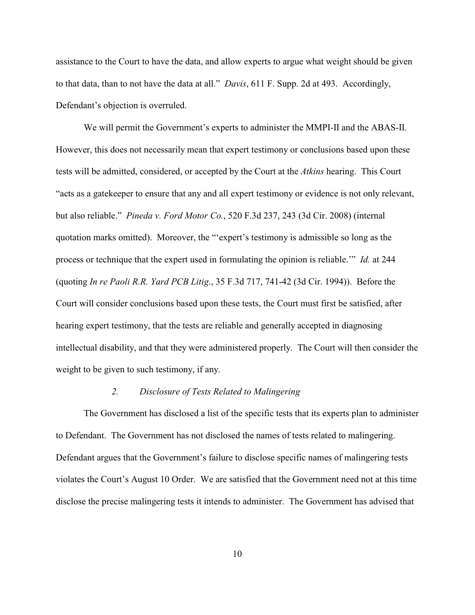assistance to the Court to have the data, and allow experts to argue what weight should be given to that data, than to not have the data at all." *Davis*, 611 F. Supp. 2d at 493. Accordingly, Defendant's objection is overruled.

We will permit the Government's experts to administer the MMPI-II and the ABAS-II. However, this does not necessarily mean that expert testimony or conclusions based upon these tests will be admitted, considered, or accepted by the Court at the *Atkins* hearing. This Court "acts as a gatekeeper to ensure that any and all expert testimony or evidence is not only relevant, but also reliable." *Pineda v. Ford Motor Co.*, 520 F.3d 237, 243 (3d Cir. 2008) (internal quotation marks omitted). Moreover, the "'expert's testimony is admissible so long as the process or technique that the expert used in formulating the opinion is reliable.'" *Id.* at 244 (quoting *In re Paoli R.R. Yard PCB Litig*., 35 F.3d 717, 741-42 (3d Cir. 1994)). Before the Court will consider conclusions based upon these tests, the Court must first be satisfied, after hearing expert testimony, that the tests are reliable and generally accepted in diagnosing intellectual disability, and that they were administered properly. The Court will then consider the weight to be given to such testimony, if any.

### *2. Disclosure of Tests Related to Malingering*

The Government has disclosed a list of the specific tests that its experts plan to administer to Defendant. The Government has not disclosed the names of tests related to malingering. Defendant argues that the Government's failure to disclose specific names of malingering tests violates the Court's August 10 Order. We are satisfied that the Government need not at this time disclose the precise malingering tests it intends to administer. The Government has advised that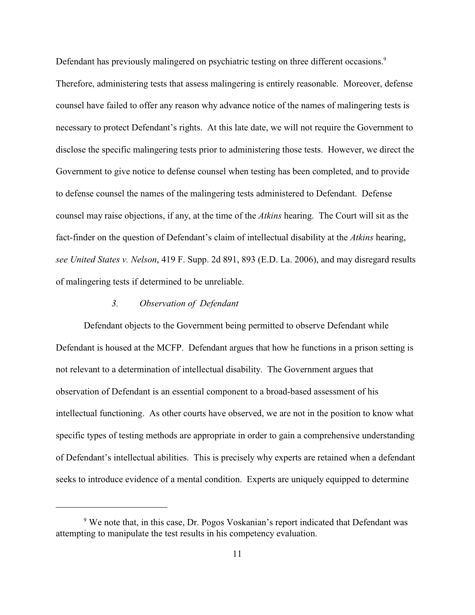Defendant has previously malingered on psychiatric testing on three different occasions.<sup>9</sup>

Therefore, administering tests that assess malingering is entirely reasonable. Moreover, defense counsel have failed to offer any reason why advance notice of the names of malingering tests is necessary to protect Defendant's rights. At this late date, we will not require the Government to disclose the specific malingering tests prior to administering those tests. However, we direct the Government to give notice to defense counsel when testing has been completed, and to provide to defense counsel the names of the malingering tests administered to Defendant. Defense counsel may raise objections, if any, at the time of the *Atkins* hearing. The Court will sit as the fact-finder on the question of Defendant's claim of intellectual disability at the *Atkins* hearing, *see United States v. Nelson*, 419 F. Supp. 2d 891, 893 (E.D. La. 2006), and may disregard results of malingering tests if determined to be unreliable.

# *3. Observation of Defendant*

Defendant objects to the Government being permitted to observe Defendant while Defendant is housed at the MCFP. Defendant argues that how he functions in a prison setting is not relevant to a determination of intellectual disability. The Government argues that observation of Defendant is an essential component to a broad-based assessment of his intellectual functioning. As other courts have observed, we are not in the position to know what specific types of testing methods are appropriate in order to gain a comprehensive understanding of Defendant's intellectual abilities. This is precisely why experts are retained when a defendant seeks to introduce evidence of a mental condition. Experts are uniquely equipped to determine

<sup>&</sup>lt;sup>9</sup> We note that, in this case, Dr. Pogos Voskanian's report indicated that Defendant was attempting to manipulate the test results in his competency evaluation.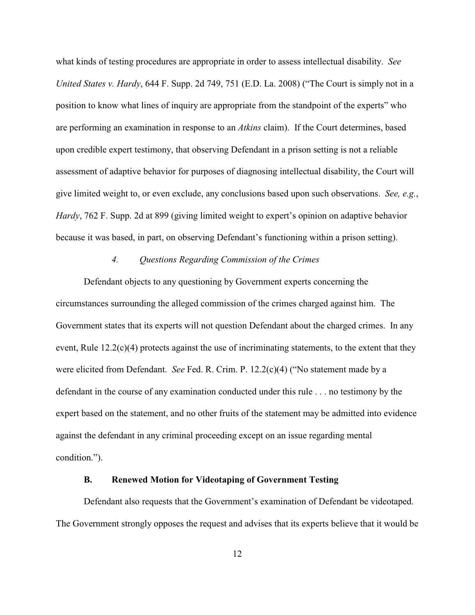what kinds of testing procedures are appropriate in order to assess intellectual disability. *See United States v. Hardy*, 644 F. Supp. 2d 749, 751 (E.D. La. 2008) ("The Court is simply not in a position to know what lines of inquiry are appropriate from the standpoint of the experts" who are performing an examination in response to an *Atkins* claim). If the Court determines, based upon credible expert testimony, that observing Defendant in a prison setting is not a reliable assessment of adaptive behavior for purposes of diagnosing intellectual disability, the Court will give limited weight to, or even exclude, any conclusions based upon such observations. *See, e.g.*, *Hardy*, 762 F. Supp. 2d at 899 (giving limited weight to expert's opinion on adaptive behavior because it was based, in part, on observing Defendant's functioning within a prison setting).

### *4. Questions Regarding Commission of the Crimes*

Defendant objects to any questioning by Government experts concerning the circumstances surrounding the alleged commission of the crimes charged against him. The Government states that its experts will not question Defendant about the charged crimes. In any event, Rule  $12.2(c)(4)$  protects against the use of incriminating statements, to the extent that they were elicited from Defendant. *See* Fed. R. Crim. P. 12.2(c)(4) ("No statement made by a defendant in the course of any examination conducted under this rule . . . no testimony by the expert based on the statement, and no other fruits of the statement may be admitted into evidence against the defendant in any criminal proceeding except on an issue regarding mental condition.").

# **B. Renewed Motion for Videotaping of Government Testing**

Defendant also requests that the Government's examination of Defendant be videotaped. The Government strongly opposes the request and advises that its experts believe that it would be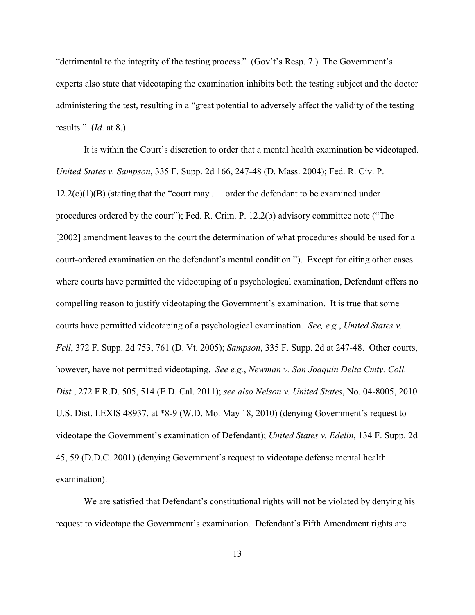"detrimental to the integrity of the testing process." (Gov't's Resp. 7.) The Government's experts also state that videotaping the examination inhibits both the testing subject and the doctor administering the test, resulting in a "great potential to adversely affect the validity of the testing results." (*Id*. at 8.)

It is within the Court's discretion to order that a mental health examination be videotaped. *United States v. Sampson*, 335 F. Supp. 2d 166, 247-48 (D. Mass. 2004); Fed. R. Civ. P.  $12.2(c)(1)(B)$  (stating that the "court may . . . order the defendant to be examined under procedures ordered by the court"); Fed. R. Crim. P. 12.2(b) advisory committee note ("The [2002] amendment leaves to the court the determination of what procedures should be used for a court-ordered examination on the defendant's mental condition."). Except for citing other cases where courts have permitted the videotaping of a psychological examination, Defendant offers no compelling reason to justify videotaping the Government's examination. It is true that some courts have permitted videotaping of a psychological examination. *See, e.g.*, *United States v. Fell*, 372 F. Supp. 2d 753, 761 (D. Vt. 2005); *Sampson*, 335 F. Supp. 2d at 247-48. Other courts, however, have not permitted videotaping. *See e.g.*, *Newman v. San Joaquin Delta Cmty. Coll. Dist.*, 272 F.R.D. 505, 514 (E.D. Cal. 2011); *see also Nelson v. United States*, No. 04-8005, 2010 U.S. Dist. LEXIS 48937, at \*8-9 (W.D. Mo. May 18, 2010) (denying Government's request to videotape the Government's examination of Defendant); *United States v. Edelin*, 134 F. Supp. 2d 45, 59 (D.D.C. 2001) (denying Government's request to videotape defense mental health examination).

We are satisfied that Defendant's constitutional rights will not be violated by denying his request to videotape the Government's examination. Defendant's Fifth Amendment rights are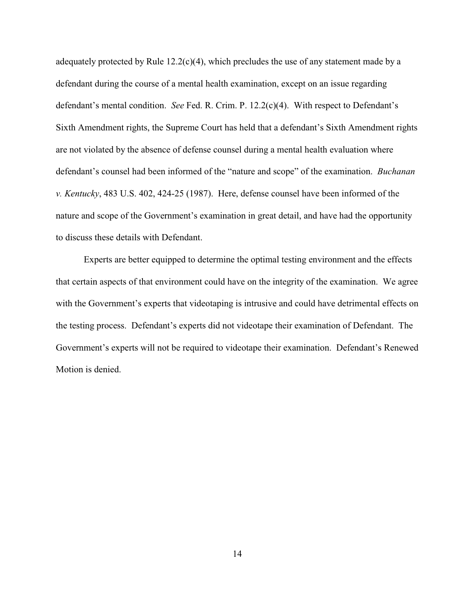adequately protected by Rule  $12.2(c)(4)$ , which precludes the use of any statement made by a defendant during the course of a mental health examination, except on an issue regarding defendant's mental condition. *See* Fed. R. Crim. P. 12.2(c)(4). With respect to Defendant's Sixth Amendment rights, the Supreme Court has held that a defendant's Sixth Amendment rights are not violated by the absence of defense counsel during a mental health evaluation where defendant's counsel had been informed of the "nature and scope" of the examination. *Buchanan v. Kentucky*, 483 U.S. 402, 424-25 (1987). Here, defense counsel have been informed of the nature and scope of the Government's examination in great detail, and have had the opportunity to discuss these details with Defendant.

Experts are better equipped to determine the optimal testing environment and the effects that certain aspects of that environment could have on the integrity of the examination. We agree with the Government's experts that videotaping is intrusive and could have detrimental effects on the testing process. Defendant's experts did not videotape their examination of Defendant. The Government's experts will not be required to videotape their examination. Defendant's Renewed Motion is denied.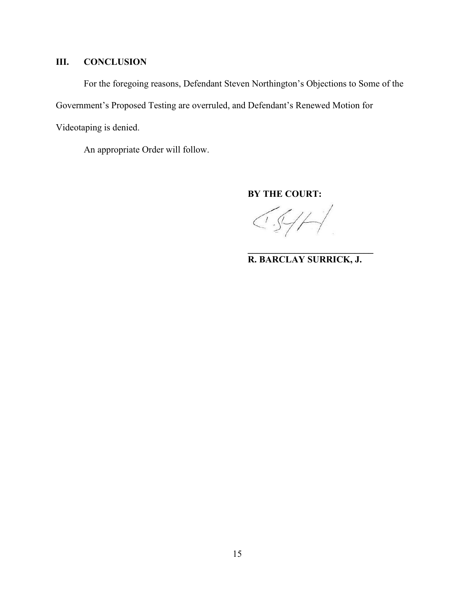# **III. CONCLUSION**

For the foregoing reasons, Defendant Steven Northington's Objections to Some of the Government's Proposed Testing are overruled, and Defendant's Renewed Motion for Videotaping is denied.

An appropriate Order will follow.

**BY THE COURT:**

 $CS/H$ 

**R. BARCLAY SURRICK, J.**

**\_\_\_\_\_\_\_\_\_\_\_\_\_\_\_\_\_\_\_\_\_\_\_\_\_\_\_**